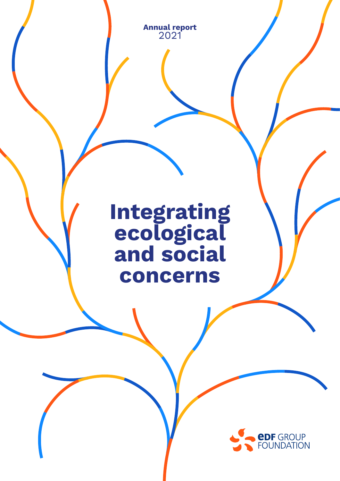**Annual report** 2021

## **Integrating ecological and social concerns**

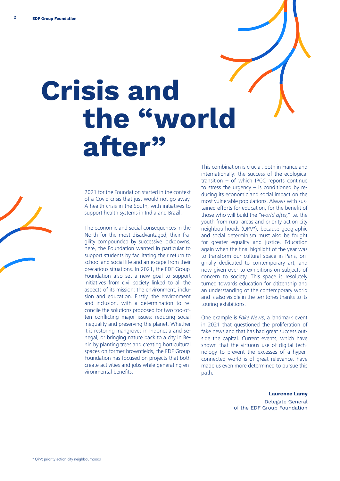# **Crisis and the "world after"**

2021 for the Foundation started in the context of a Covid crisis that just would not go away. A health crisis in the South, with initiatives to support health systems in India and Brazil.

The economic and social consequences in the North for the most disadvantaged, their fragility compounded by successive lockdowns; here, the Foundation wanted in particular to support students by facilitating their return to school and social life and an escape from their precarious situations. In 2021, the EDF Group Foundation also set a new goal to support initiatives from civil society linked to all the aspects of its mission: the environment, inclusion and education. Firstly, the environment and inclusion, with a determination to reconcile the solutions proposed for two too-often conflicting major issues: reducing social inequality and preserving the planet. Whether it is restoring mangroves in Indonesia and Senegal, or bringing nature back to a city in Benin by planting trees and creating horticultural spaces on former brownfields, the EDF Group Foundation has focused on projects that both create activities and jobs while generating environmental benefits.

This combination is crucial, both in France and internationally: the success of the ecological transition – of which IPCC reports continue to stress the urgency  $-$  is conditioned by reducing its economic and social impact on the most vulnerable populations. Always with sustained efforts for education, for the benefit of those who will build the *"world after,"* i.e. the youth from rural areas and priority action city neighbourhoods (QPV\*), because geographic and social determinism must also be fought for greater equality and justice. Education again when the final highlight of the year was to transform our cultural space in Paris, originally dedicated to contemporary art, and now given over to exhibitions on subjects of concern to society. This space is resolutely turned towards education for citizenship and an understanding of the contemporary world and is also visible in the territories thanks to its touring exhibitions.

One example is *Fake News*, a landmark event in 2021 that questioned the proliferation of fake news and that has had great success outside the capital. Current events, which have shown that the virtuous use of digital technology to prevent the excesses of a hyperconnected world is of great relevance, have made us even more determined to pursue this path.

**Laurence Lamy**

Delegate General of the EDF Group Foundation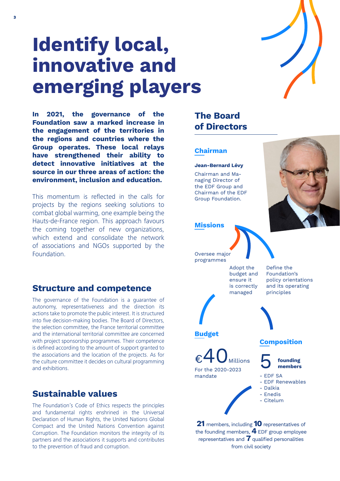

## **Identify local, innovative and emerging players**

**In 2021, the governance of the Foundation saw a marked increase in the engagement of the territories in the regions and countries where the Group operates. These local relays have strengthened their ability to detect innovative initiatives at the source in our three areas of action: the environment, inclusion and education.** 

This momentum is reflected in the calls for projects by the regions seeking solutions to combat global warming, one example being the Hauts-de-France region. This approach favours the coming together of new organizations, which extend and consolidate the network of associations and NGOs supported by the Foundation.

#### **Structure and competence**

The governance of the Foundation is a guarantee of autonomy, representativeness and the direction its actions take to promote the public interest. It is structured into five decision-making bodies. The Board of Directors, the selection committee, the France territorial committee and the international territorial committee are concerned with project sponsorship programmes. Their competence is defined according to the amount of support granted to the associations and the location of the projects. As for the culture committee it decides on cultural programming and exhibitions.

#### **Sustainable values**

The Foundation's Code of Ethics respects the principles and fundamental rights enshrined in the Universal Declaration of Human Rights, the United Nations Global Compact and the United Nations Convention against Corruption. The Foundation monitors the integrity of its partners and the associations it supports and contributes to the prevention of fraud and corruption.

#### **The Board of Directors**

#### **Chairman**

#### **Jean-Bernard Lévy**

Chairman and Managing Director of the EDF Group and Chairman of the EDF Group Foundation.



#### **Missions**

Oversee major programmes

> Adopt the budget and ensure it is correctly managed

Define the



 $\epsilon$ 40 Millions

For the 2020-2023 mandate

Foundation's policy orientations and its operating principles





- EDF SA
- EDF Renewables
- Dalkia - Enedis
- Citelum

**21** members, including **10** representatives of the founding members, **4** EDF group employee representatives and **7** qualified personalities from civil society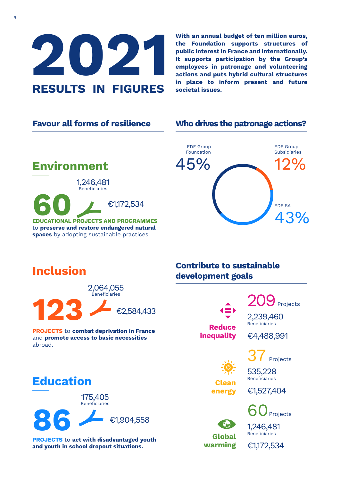

**4**

**With an annual budget of ten million euros, the Foundation supports structures of public interest in France and internationally. It supports participation by the Group's employees in patronage and volunteering actions and puts hybrid cultural structures in place to inform present and future societal issues.**

#### **Favour all forms of resilience**

#### **Who drives the patronage actions?**



**Environment 60 EDUCATIONAL PROJECTS AND PROGRAMMES** €1,172,534 1,246,481 Beneficiaries

to **preserve and restore endangered natural spaces** by adopting sustainable practices.

## **Inclusion**



**PROJECTS** to **combat deprivation in France** and **promote access to basic necessities** abroad.

### **Education**

**86** €1,904,558 175,405 Beneficiaries

**PROJECTS** to **act with disadvantaged youth and youth in school dropout situations.**

#### **Contribute to sustainable development goals**



 $9$  Projects 2,239,460 Beneficiaries

**Clean energy**

**Global warming**

€4,488,991

Projects

535,228 Beneficiaries

€1,527,404



1,246,481 **Beneficiaries** 

€1,172,534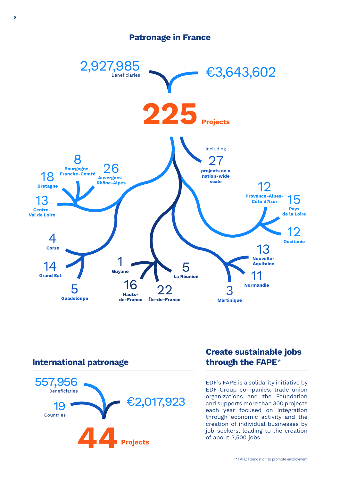#### **Patronage in France**



#### **International patronage**



#### **Create sustainable jobs through the FAPE**\*

EDF's FAPE is a solidarity initiative by EDF Group companies, trade union organizations and the Foundation and supports more than 300 projects each year focused on integration through economic activity and the creation of individual businesses by job-seekers, leading to the creation of about 3,500 jobs.